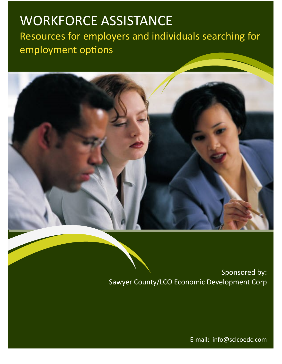# WORKFORCE ASSISTANCE

Resources for employers and individuals searching for employment options



Sponsored by: Sawyer County/LCO Economic Development Corp

E-mail: info@sclcoedc.com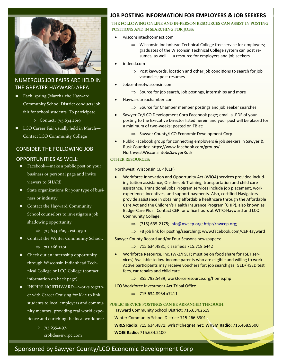

## NUMEROUS JOB FAIRS ARE HELD IN THE GREATER HAYWARD AREA

■ Each spring (March) the Hayward Community School District conducts job fair for school students. To participate

 $\Rightarrow$  Contact: 715.634.2619

■ LCO Career Fair usually held in March— Contact LCO Community College

#### CONSIDER THE FOLLOWING JOB

#### OPPORTUNITIES AS WELL:

- Facebook—make a public post on your business or personal page and invite viewers to SHARE
- State organizations for your type of business or industry
- Contact the Hayward Community School counselors to investigate a job shadowing opportunity
	- $\implies$  715.634.2619, ext. 9501
- Contact the Winter Community School:  $\implies$  715.266.3301
- Check out an internship opportunity through Wisconsin Indianhead Technical College or LCO College (contact information on back page)
- INSPIRE NORTHWARD—works together with Career Cruising for K-12 to link students to local employers and community mentors, providing real world experience and enriching the local workforce

 $\Rightarrow$  715.635.2197; crohde@nwrpc.com

## **JOB POSTING INFORMATION FOR EMPLOYERS & JOB SEEKERS**

#### THE FOLLOWING ONLINE AND IN-PERSON RESOURCES CAN ASSIST IN POSTING POSITIONS AND IN SEARCHING FOR JOBS:

- wisconsintechconnect.com
	- $\Rightarrow$  Wisconsin Indianhead Technical College free service for employers; graduates of the Wisconsin Technical College system can post resumes, as well — a resource for employers and job seekers
- indeed.com
	- $\Rightarrow$  Post keywords, location and other job conditions to search for job vacancies; post resumes
- Jobcenterofwisconsin.com
	- $\Rightarrow$  Source for job search, job postings, internships and more
- Haywardareachamber.com
	- $\Rightarrow$  Source for Chamber member postings and job seeker searches
- Sawyer Co/LCO Development Corp Facebook page; email a .PDF of your posting to the Executive Director listed herein and your post will be placed for a minimum of two-weeks; posted on FB at:
	- $\Rightarrow$  Sawyer County/LCO Economic Development Corp.
- Public Facebook group for connecting employers & job seekers in Sawyer & Rusk Counties: [https://www.facebook.com/groups/](https://www.facebook.com/groups/NorthwestWisconsinJobsSawyerRusk) [NorthwestWisconsinJobsSawyerRusk](https://www.facebook.com/groups/NorthwestWisconsinJobsSawyerRusk)

#### OTHER RESOURCES:

#### Northwest Wisconsin CEP (CEP)

- Workforce Innovation and Opportunity Act (WIOA) services provided including tuition assistance, On-the-Job Training, transportation and child care assistance. Transitional Jobs Program services include job placement, work experience, incentives, and support payments. Also, certified Navigators provide assistance in obtaining affordable healthcare through the Affordable Care Act and the Children's Health Insurance Program (CHIP), also known as BadgerCare Plus. Contact CEP for office hours at WITC-Hayward and LCO Community College.
	- $\Rightarrow$  (715) 635-2175; [info@nwcep.org;](mailto:info@nwcep.org) http://nwcep.org;
	- $\Rightarrow$  FB job link for posting/searching: www.facebook.com/CEPHayward

Sawyer County Record and/or Four Seasons newspapers:

- $\implies$  715.634.4881; classifieds 715.718.6442
- Workforce Resource, Inc. (W-2/FSET; must be on food share for FSET services) Available to low-income parents who are eligible and willing to work. Active participants may receive vouchers for: job search gas, GED/HSED test fees, car repairs and child care
	- $\implies$  855.792.5439; workforceresource.org/home.php
- LCO Workforce Investment Act Tribal Office

 $\implies$  715.634.8934 x7411

#### PUBLIC SERVICE POSTINGS CAN BE ARRANGED THROUGH:

Hayward Community School District: 715.634.2619

Winter Community School District: 715.266.3301

**WRLS Radio**: 715.634.4871; wrls@cheqnet.net; **WHSM Radio**: 715.468.9500 **WOJB Radio**: 715.634.2100

# Sponsored by Sawyer County/LCO Economic Development Corp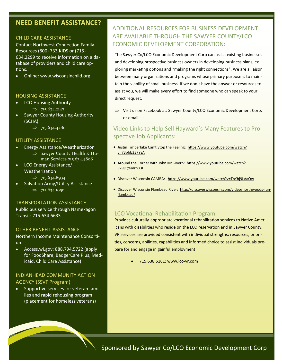# **NEED BENEFIT ASSISTANCE?**

#### CHILD CARE ASSISTANCE

Contact Northwest Connection Family Resources (800) 733.KIDS or (715) 634.2299 to receive information on a database of providers and child care options.

Online: www.wisconsinchild.org

#### HOUSING ASSISTANCE

- LCO Housing Authority
	- $\Rightarrow$  715.634.2147
- Sawyer County Housing Authority (SCHA)
	- $\implies$  715.634.4280

#### UTILITY ASSISTANCE

- Energy Assistance/Weatherization  $\Rightarrow$  Sawyer County Health & Human Services 715.634.4806
- LCO Energy Assistance/
	- Weatherization
		- $\implies$  715.634.8934
- Salvation Army/Utility Assistance  $\Rightarrow$  715.634.1050

#### TRANSPORTATION ASSISTANCE

Public bus service through Namekagon Transit: 715.634.6633

#### OTHER BENEFIT ASSISTANCE

Northern Income Maintenance Consortium

 Access.wi.gov; 888.794.5722 (apply for FoodShare, BadgerCare Plus, Medicaid, Child Care Assistance)

## INDIANHEAD COMMUNITY ACTION AGENCY (SSVF Program)

• Supportive services for veteran families and rapid rehousing program (placement for homeless veterans)

# ADDITIONAL RESOURCES FOR BUSINESS DEVELOPMENT ARE AVAILABLE THROUGH THE SAWYER COUNTY/LCO ECONOMIC DEVELOPMENT CORPORATION:

The Sawyer Co/LCO Economic Development Corp can assist existing businesses and developing prospective business owners in developing business plans, exploring marketing options and "making the right connections". We are a liaison between many organizations and programs whose primary purpose is to maintain the viability of small business. If we don't have the answer or resources to assist you, we will make every effort to find someone who can speak to your direct request.

 $\Rightarrow$  Visit us on Facebook at: Sawyer County/LCO Economic Development Corp. or email:

# Video Links to Help Sell Hayward's Many Features to Prospective Job Applicants:

- Justin Timberlake Can't Stop the Feeling: [https://www.youtube.com/watch?](https://www.youtube.com/watch?v=73pbb337YsA) [v=73pbb337YsA](https://www.youtube.com/watch?v=73pbb337YsA)
- Around the Corner with John McGivern: [https://www.youtube.com/watch?](https://www.youtube.com/watch?v=9jQtemrNXsE) [v=9jQtemrNXsE](https://www.youtube.com/watch?v=9jQtemrNXsE)
- Discover Wisconsin CAMBA: <https://www.youtube.com/watch?v=TbYbj9LAaQw>
- Discover Wisconsin Flambeau River: [http://discoverwisconsin.com/video/northwoods](http://discoverwisconsin.com/video/northwoods-fun-flambeau/)-fun[flambeau/](http://discoverwisconsin.com/video/northwoods-fun-flambeau/)

#### [LCO Vocational Rehabilitation Program](http://www.lco-vr.com/)

Provides culturally-appropriate vocational rehabilitation services to Native Americans with disabilities who reside on the LCO reservation and in Sawyer County. VR services are provided consistent with individual strengths; resources, priorities, concerns, abilities, capabilities and informed choice to assist individuals prepare for and engage in gainful employment.

715.638.5161; [www.lco](http://www.lco-vr.com/)-vr.com